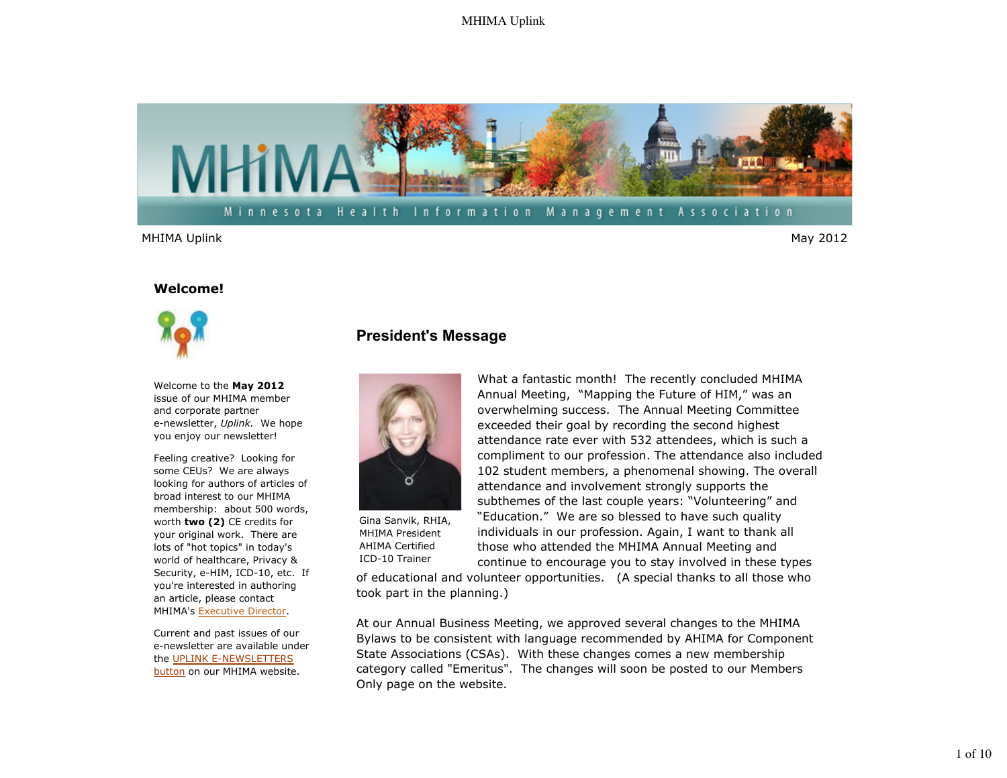

### **Welcome!**



Welcome to the **May 2012** issue of our MHIMA member and corporate partner e-newsletter, *Uplink.* We hope you enjoy our newsletter!

Feeling creative? Looking for some CEUs? We are always looking for authors of articles of broad interest to our MHIMA membership: about 500 words, worth **two (2)** CE credits for your original work. There are lots of "hot topics" in today's world of healthcare, Privacy & Security, e-HIM, ICD-10, etc. If you're interested in authoring an article, please contact MHIMA's Executive Director.

Current and past issues of our e-newsletter are available under the UPLINK E-NEWSLETTERS button on our MHIMA website.

# **President's Message**



Gina Sanvik, RHIA, MHIMA President AHIMA Certified ICD-10 Trainer

What a fantastic month! The recently concluded MHIMA Annual Meeting, "Mapping the Future of HIM," was an overwhelming success. The Annual Meeting Committee exceeded their goal by recording the second highest attendance rate ever with 532 attendees, which is such a compliment to our profession. The attendance also included 102 student members, a phenomenal showing. The overall attendance and involvement strongly supports the subthemes of the last couple years: "Volunteering" and "Education." We are so blessed to have such quality individuals in our profession. Again, I want to thank all those who attended the MHIMA Annual Meeting and continue to encourage you to stay involved in these types

of educational and volunteer opportunities. (A special thanks to all those who took part in the planning.)

At our Annual Business Meeting, we approved several changes to the MHIMA Bylaws to be consistent with language recommended by AHIMA for Component State Associations (CSAs). With these changes comes a new membership category called "Emeritus". The changes will soon be posted to our Members Only page on the website.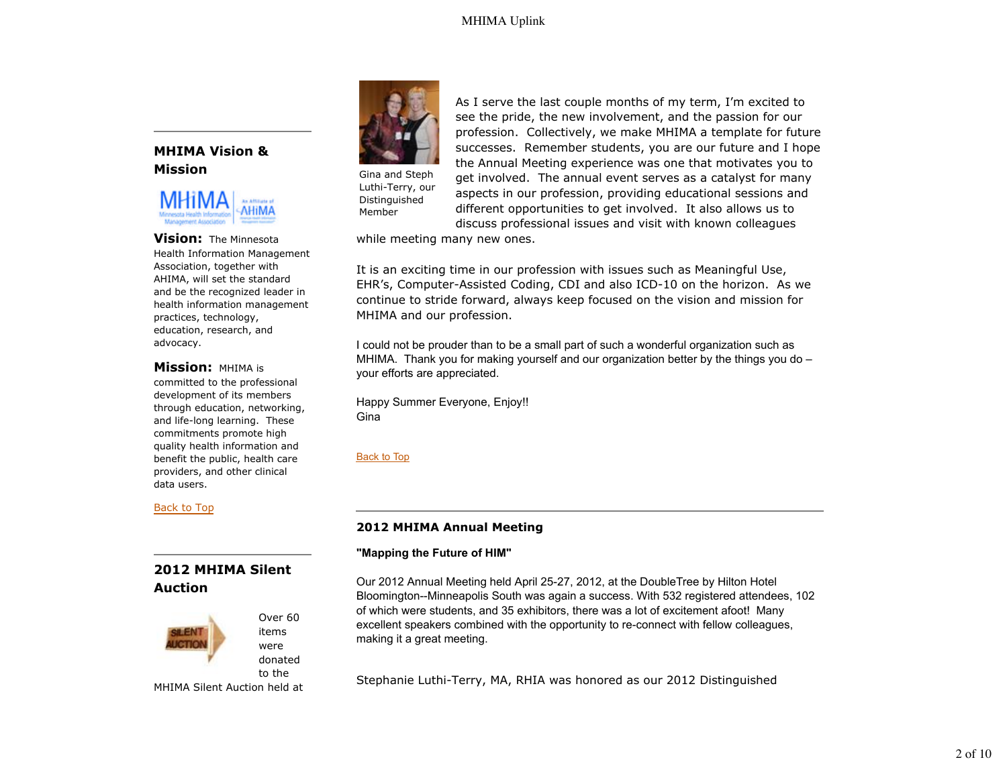**MHIMA Vision & Mission**



**Vision:** The Minnesota Health Information Management Association, together with AHIMA, will set the standard and be the recognized leader in health information management practices, technology, education, research, and advocacy.

### **Mission:** MHIMA is

committed to the professional development of its members through education, networking, and life-long learning. These commitments promote high quality health information and benefit the public, health care providers, and other clinical data users.

Back to Top

# **2012 MHIMA Silent Auction**





Gina and Steph Luthi-Terry, our Distinguished Member

As I serve the last couple months of my term, I'm excited to see the pride, the new involvement, and the passion for our profession. Collectively, we make MHIMA a template for future successes. Remember students, you are our future and I hope the Annual Meeting experience was one that motivates you to get involved. The annual event serves as a catalyst for many aspects in our profession, providing educational sessions and different opportunities to get involved. It also allows us to discuss professional issues and visit with known colleagues

while meeting many new ones.

It is an exciting time in our profession with issues such as Meaningful Use, EHR's, Computer-Assisted Coding, CDI and also ICD-10 on the horizon. As we continue to stride forward, always keep focused on the vision and mission for MHIMA and our profession.

I could not be prouder than to be a small part of such a wonderful organization such as MHIMA. Thank you for making yourself and our organization better by the things you do  $$ your efforts are appreciated.

Happy Summer Everyone, Enjoy!! Gina

### Back to Top

### **2012 MHIMA Annual Meeting**

### **"Mapping the Future of HIM"**

Our 2012 Annual Meeting held April 25-27, 2012, at the DoubleTree by Hilton Hotel Bloomington--Minneapolis South was again a success. With 532 registered attendees, 102 of which were students, and 35 exhibitors, there was a lot of excitement afoot! Many excellent speakers combined with the opportunity to re-connect with fellow colleagues, making it a great meeting.

Stephanie Luthi-Terry, MA, RHIA was honored as our 2012 Distinguished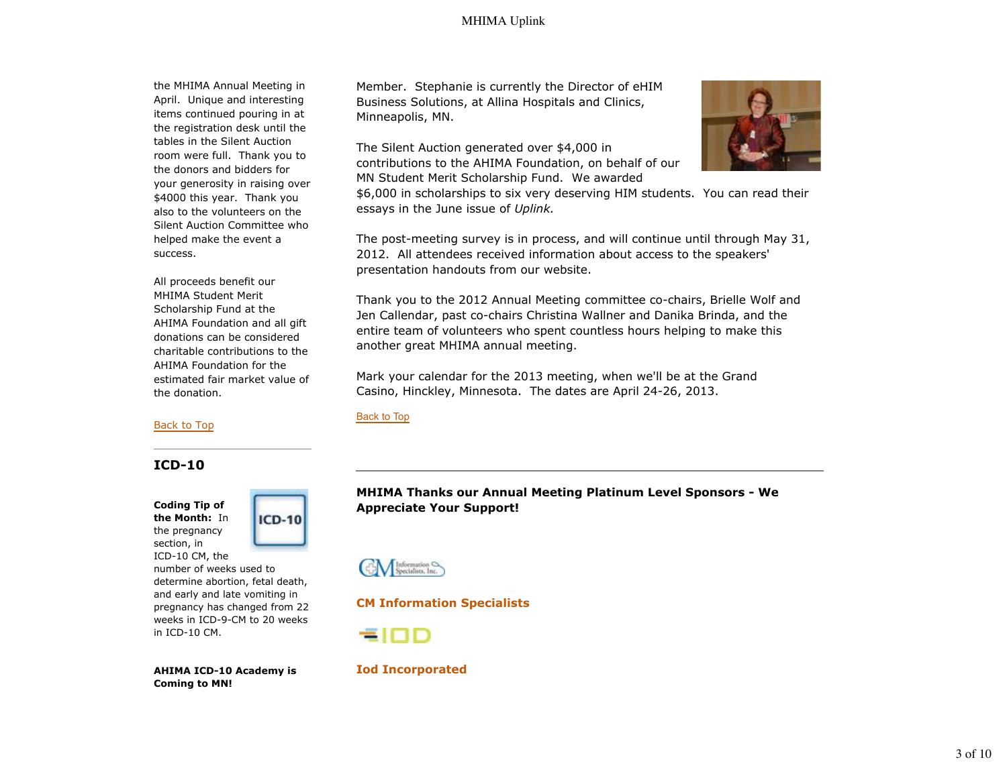the MHIMA Annual Meeting in April. Unique and interesting items continued pouring in at the registration desk until the tables in the Silent Auction room were full. Thank you to the donors and bidders for your generosity in raising over \$4000 this year. Thank you also to the volunteers on the Silent Auction Committee who helped make the event a success.

All proceeds benefit our MHIMA Student Merit Scholarship Fund at the AHIMA Foundation and all gift donations can be considered charitable contributions to the AHIMA Foundation for the estimated fair market value of the donation.

### Back to Top

### **ICD-10**

**Coding Tip of the Month:** In the pregnancy section, in



ICD-10 CM, the number of weeks used to determine abortion, fetal death, and early and late vomiting in pregnancy has changed from 22 weeks in ICD-9-CM to 20 weeks in ICD-10 CM.

**AHIMA ICD-10 Academy is Coming to MN!**

Member. Stephanie is currently the Director of eHIM Business Solutions, at Allina Hospitals and Clinics, Minneapolis, MN.

The Silent Auction generated over \$4,000 in contributions to the AHIMA Foundation, on behalf of our MN Student Merit Scholarship Fund. We awarded

\$6,000 in scholarships to six very deserving HIM students. You can read their essays in the June issue of *Uplink.*

The post-meeting survey is in process, and will continue until through May 31, 2012. All attendees received information about access to the speakers' presentation handouts from our website.

Thank you to the 2012 Annual Meeting committee co-chairs, Brielle Wolf and Jen Callendar, past co-chairs Christina Wallner and Danika Brinda, and the entire team of volunteers who spent countless hours helping to make this another great MHIMA annual meeting.

Mark your calendar for the 2013 meeting, when we'll be at the Grand Casino, Hinckley, Minnesota. The dates are April 24-26, 2013.

### Back to Top

**MHIMA Thanks our Annual Meeting Platinum Level Sponsors - We Appreciate Your Support!** 



**CM Information Specialists**



### **Iod Incorporated**

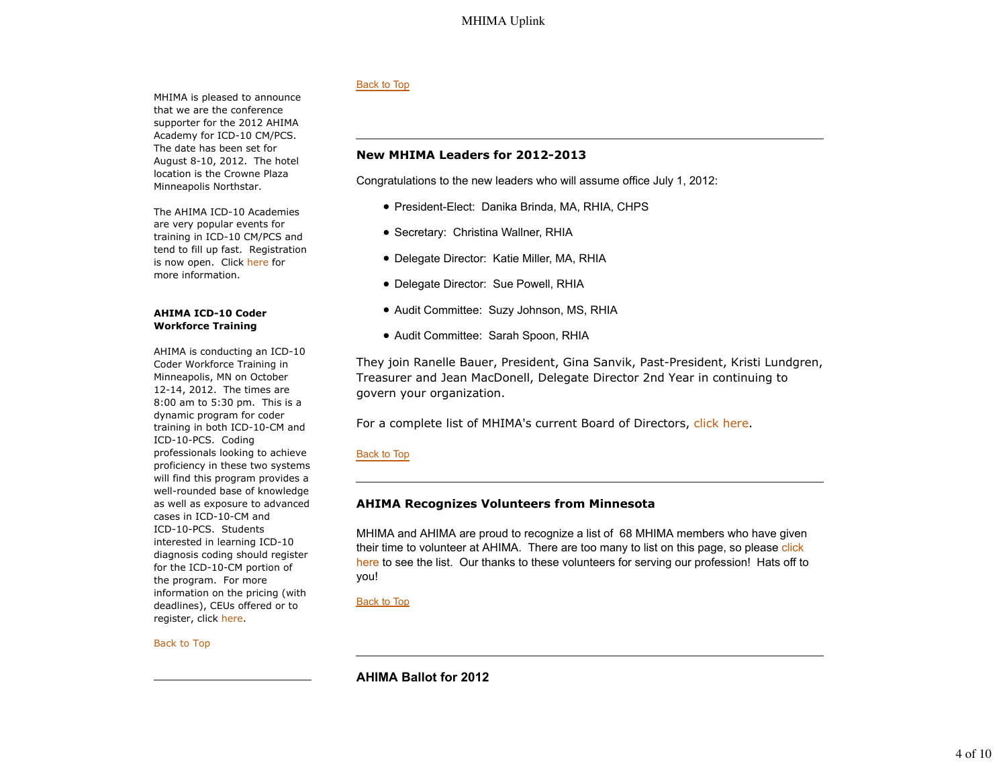MHIMA is pleased to announce that we are the conference supporter for the 2012 AHIMA Academy for ICD-10 CM/PCS. The date has been set for August 8-10, 2012. The hotel location is the Crowne Plaza Minneapolis Northstar.

The AHIMA ICD-10 Academies are very popular events for training in ICD-10 CM/PCS and tend to fill up fast. Registration is now open. Click here for more information.

#### **AHIMA ICD-10 Coder Workforce Training**

AHIMA is conducting an ICD-10 Coder Workforce Training in Minneapolis, MN on October 12-14, 2012. The times are 8:00 am to 5:30 pm. This is a dynamic program for coder training in both ICD-10-CM and ICD-10-PCS. Coding professionals looking to achieve proficiency in these two systems will find this program provides a well-rounded base of knowledge as well as exposure to advanced cases in ICD-10-CM and ICD-10-PCS. Students interested in learning ICD-10 diagnosis coding should register for the ICD-10-CM portion of the program. For more information on the pricing (with deadlines), CEUs offered or to register, click here.

### Back to Top

## **New MHIMA Leaders for 2012-2013**

Congratulations to the new leaders who will assume office July 1, 2012:

- President-Elect: Danika Brinda, MA, RHIA, CHPS
- Secretary: Christina Wallner, RHIA
- Delegate Director: Katie Miller, MA, RHIA
- Delegate Director: Sue Powell, RHIA
- Audit Committee: Suzy Johnson, MS, RHIA
- Audit Committee: Sarah Spoon, RHIA

They join Ranelle Bauer, President, Gina Sanvik, Past-President, Kristi Lundgren, Treasurer and Jean MacDonell, Delegate Director 2nd Year in continuing to govern your organization.

For a complete list of MHIMA's current Board of Directors, click here.

### Back to Top

### **AHIMA Recognizes Volunteers from Minnesota**

MHIMA and AHIMA are proud to recognize a list of 68 MHIMA members who have given their time to volunteer at AHIMA. There are too many to list on this page, so please click here to see the list. Our thanks to these volunteers for serving our profession! Hats off to you!

### Back to Top

### Back to Top

**AHIMA Ballot for 2012**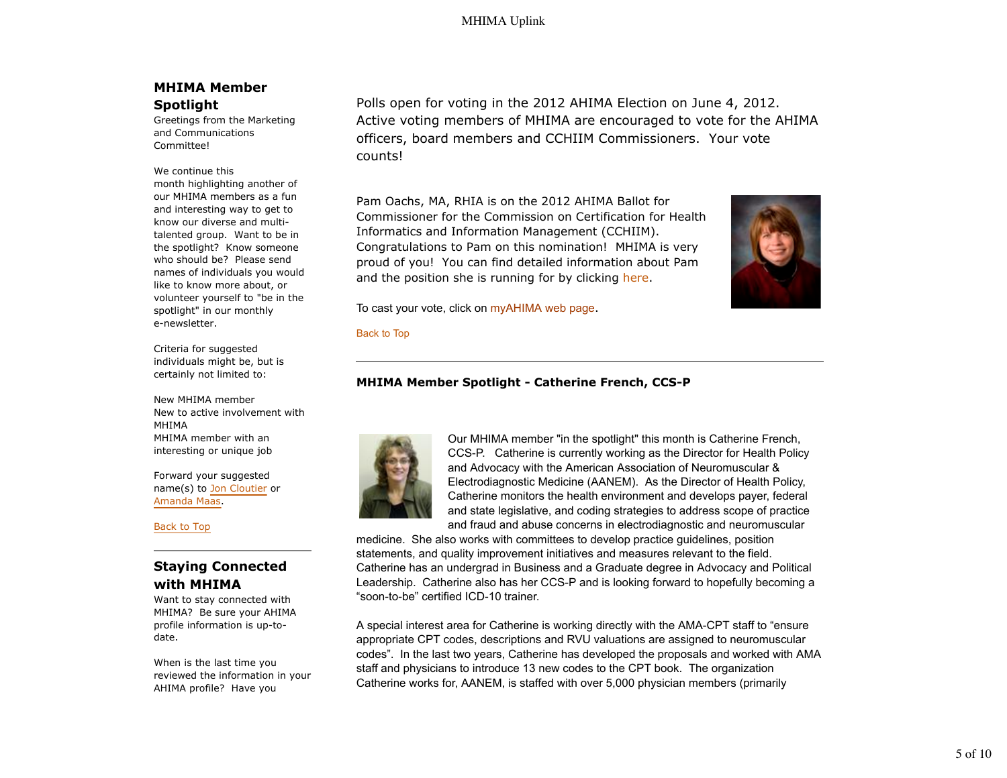# **MHIMA Member Spotlight**

Greetings from the Marketing and Communications Committee!

#### We continue this

month highlighting another of our MHIMA members as a fun and interesting way to get to know our diverse and multitalented group. Want to be in the spotlight? Know someone who should be? Please send names of individuals you would like to know more about, or volunteer yourself to "be in the spotlight" in our monthly e-newsletter.

Criteria for suggested individuals might be, but is certainly not limited to:

New MHIMA member New to active involvement with MHIMA MHIMA member with an interesting or unique job

Forward your suggested name(s) to Jon Cloutier or Amanda Maas.

Back to Top

# **Staying Connected with MHIMA**

Want to stay connected with MHIMA? Be sure your AHIMA profile information is up-todate.

When is the last time you reviewed the information in your AHIMA profile? Have you

Polls open for voting in the 2012 AHIMA Election on June 4, 2012. Active voting members of MHIMA are encouraged to vote for the AHIMA officers, board members and CCHIIM Commissioners. Your vote counts!

Pam Oachs, MA, RHIA is on the 2012 AHIMA Ballot for Commissioner for the Commission on Certification for Health Informatics and Information Management (CCHIIM). Congratulations to Pam on this nomination! MHIMA is very proud of you! You can find detailed information about Pam and the position she is running for by clicking here.



To cast your vote, click on myAHIMA web page.

#### Back to Top

### **MHIMA Member Spotlight - Catherine French, CCS-P**



Our MHIMA member "in the spotlight" this month is Catherine French, CCS-P. Catherine is currently working as the Director for Health Policy and Advocacy with the American Association of Neuromuscular & Electrodiagnostic Medicine (AANEM). As the Director of Health Policy, Catherine monitors the health environment and develops payer, federal and state legislative, and coding strategies to address scope of practice and fraud and abuse concerns in electrodiagnostic and neuromuscular

medicine. She also works with committees to develop practice guidelines, position statements, and quality improvement initiatives and measures relevant to the field. Catherine has an undergrad in Business and a Graduate degree in Advocacy and Political Leadership. Catherine also has her CCS-P and is looking forward to hopefully becoming a "soon-to-be" certified ICD-10 trainer.

A special interest area for Catherine is working directly with the AMA-CPT staff to "ensure appropriate CPT codes, descriptions and RVU valuations are assigned to neuromuscular codes". In the last two years, Catherine has developed the proposals and worked with AMA staff and physicians to introduce 13 new codes to the CPT book. The organization Catherine works for, AANEM, is staffed with over 5,000 physician members (primarily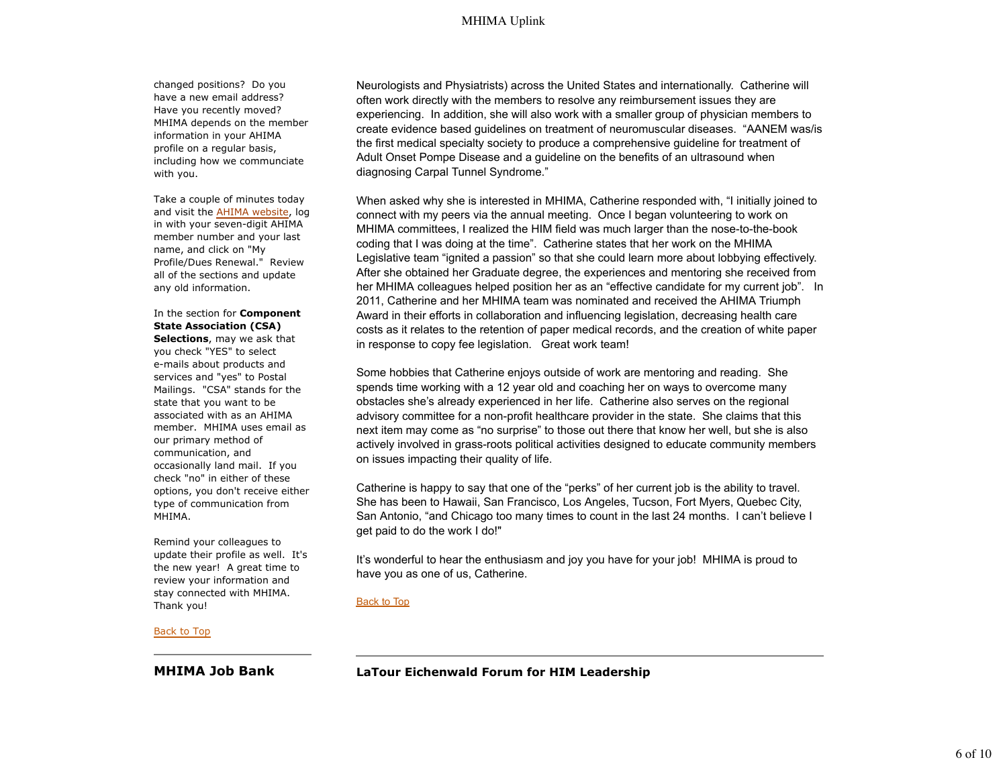changed positions? Do you have a new email address? Have you recently moved? MHIMA depends on the member information in your AHIMA profile on a regular basis, including how we communciate with you.

Take a couple of minutes today and visit the AHIMA website, log in with your seven-digit AHIMA member number and your last name, and click on "My Profile/Dues Renewal." Review all of the sections and update any old information.

In the section for **Component State Association (CSA) Selections**, may we ask that you check "YES" to select e-mails about products and services and "yes" to Postal Mailings. "CSA" stands for the state that you want to be associated with as an AHIMA member. MHIMA uses email as our primary method of communication, and occasionally land mail. If you check "no" in either of these options, you don't receive either type of communication from MHIMA.

Remind your colleagues to update their profile as well. It's the new year! A great time to review your information and stay connected with MHIMA. Thank you!

Neurologists and Physiatrists) across the United States and internationally. Catherine will often work directly with the members to resolve any reimbursement issues they are experiencing. In addition, she will also work with a smaller group of physician members to create evidence based guidelines on treatment of neuromuscular diseases. "AANEM was/is the first medical specialty society to produce a comprehensive guideline for treatment of Adult Onset Pompe Disease and a guideline on the benefits of an ultrasound when diagnosing Carpal Tunnel Syndrome."

When asked why she is interested in MHIMA, Catherine responded with, "I initially joined to connect with my peers via the annual meeting. Once I began volunteering to work on MHIMA committees, I realized the HIM field was much larger than the nose-to-the-book coding that I was doing at the time". Catherine states that her work on the MHIMA Legislative team "ignited a passion" so that she could learn more about lobbying effectively. After she obtained her Graduate degree, the experiences and mentoring she received from her MHIMA colleagues helped position her as an "effective candidate for my current job". In 2011, Catherine and her MHIMA team was nominated and received the AHIMA Triumph Award in their efforts in collaboration and influencing legislation, decreasing health care costs as it relates to the retention of paper medical records, and the creation of white paper in response to copy fee legislation. Great work team!

Some hobbies that Catherine enjoys outside of work are mentoring and reading. She spends time working with a 12 year old and coaching her on ways to overcome many obstacles she's already experienced in her life. Catherine also serves on the regional advisory committee for a non-profit healthcare provider in the state. She claims that this next item may come as "no surprise" to those out there that know her well, but she is also actively involved in grass-roots political activities designed to educate community members on issues impacting their quality of life.

Catherine is happy to say that one of the "perks" of her current job is the ability to travel. She has been to Hawaii, San Francisco, Los Angeles, Tucson, Fort Myers, Quebec City, San Antonio, "and Chicago too many times to count in the last 24 months. I can't believe I get paid to do the work I do!"

It's wonderful to hear the enthusiasm and joy you have for your job! MHIMA is proud to have you as one of us, Catherine.

#### Back to Top

Back to Top

**MHIMA Job Bank**

**LaTour Eichenwald Forum for HIM Leadership**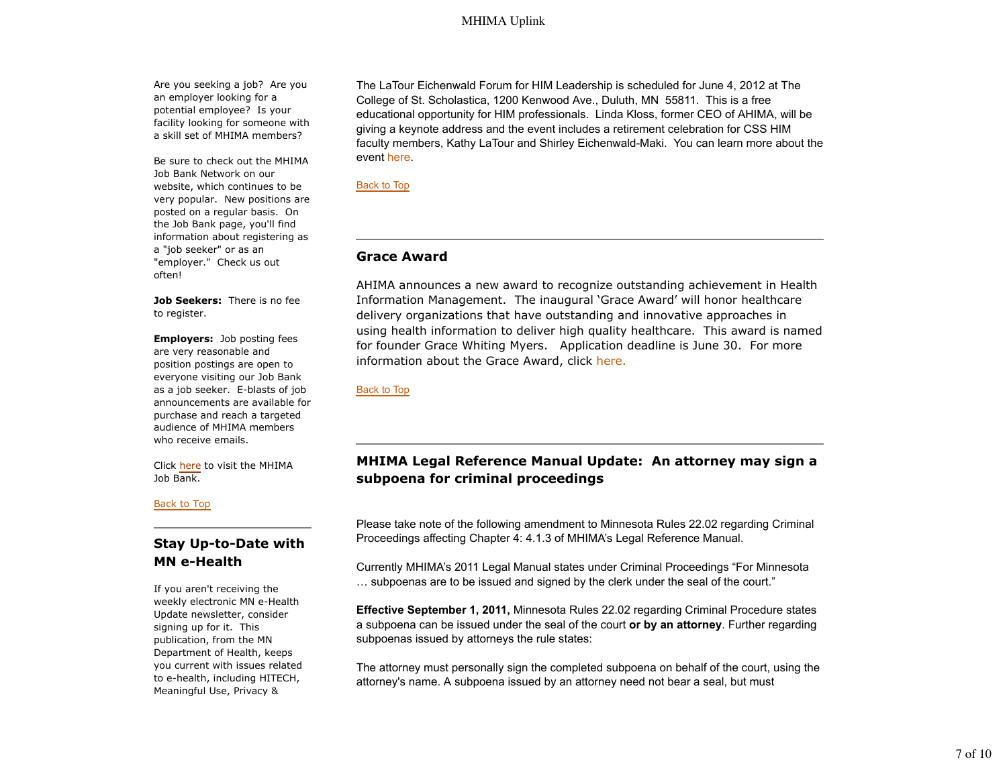Are you seeking a job? Are you an employer looking for a potential employee? Is your facility looking for someone with a skill set of MHIMA members?

Be sure to check out the MHIMA Job Bank Network on our website, which continues to be very popular. New positions are posted on a regular basis. On the Job Bank page, you'll find information about registering as a "job seeker" or as an "employer." Check us out often!

**Job Seekers:** There is no fee to register.

**Employers:** Job posting fees are very reasonable and position postings are open to everyone visiting our Job Bank as a job seeker. E-blasts of job announcements are available for purchase and reach a targeted audience of MHIMA members who receive emails.

Click here to visit the MHIMA Job Bank.

Back to Top

# **Stay Up-to-Date with MN e-Health**

If you aren't receiving the weekly electronic MN e-Health Update newsletter, consider signing up for it. This publication, from the MN Department of Health, keeps you current with issues related to e-health, including HITECH, Meaningful Use, Privacy &

The LaTour Eichenwald Forum for HIM Leadership is scheduled for June 4, 2012 at The College of St. Scholastica, 1200 Kenwood Ave., Duluth, MN 55811. This is a free educational opportunity for HIM professionals. Linda Kloss, former CEO of AHIMA, will be giving a keynote address and the event includes a retirement celebration for CSS HIM faculty members, Kathy LaTour and Shirley Eichenwald-Maki. You can learn more about the event here.

Back to Top

## **Grace Award**

AHIMA announces a new award to recognize outstanding achievement in Health Information Management. The inaugural 'Grace Award' will honor healthcare delivery organizations that have outstanding and innovative approaches in using health information to deliver high quality healthcare. This award is named for founder Grace Whiting Myers. Application deadline is June 30. For more information about the Grace Award, click here.

### Back to Top

# **MHIMA Legal Reference Manual Update: An attorney may sign a subpoena for criminal proceedings**

Please take note of the following amendment to Minnesota Rules 22.02 regarding Criminal Proceedings affecting Chapter 4: 4.1.3 of MHIMA's Legal Reference Manual.

Currently MHIMA's 2011 Legal Manual states under Criminal Proceedings "For Minnesota … subpoenas are to be issued and signed by the clerk under the seal of the court."

**Effective September 1, 2011,** Minnesota Rules 22.02 regarding Criminal Procedure states a subpoena can be issued under the seal of the court **or by an attorney**. Further regarding subpoenas issued by attorneys the rule states:

The attorney must personally sign the completed subpoena on behalf of the court, using the attorney's name. A subpoena issued by an attorney need not bear a seal, but must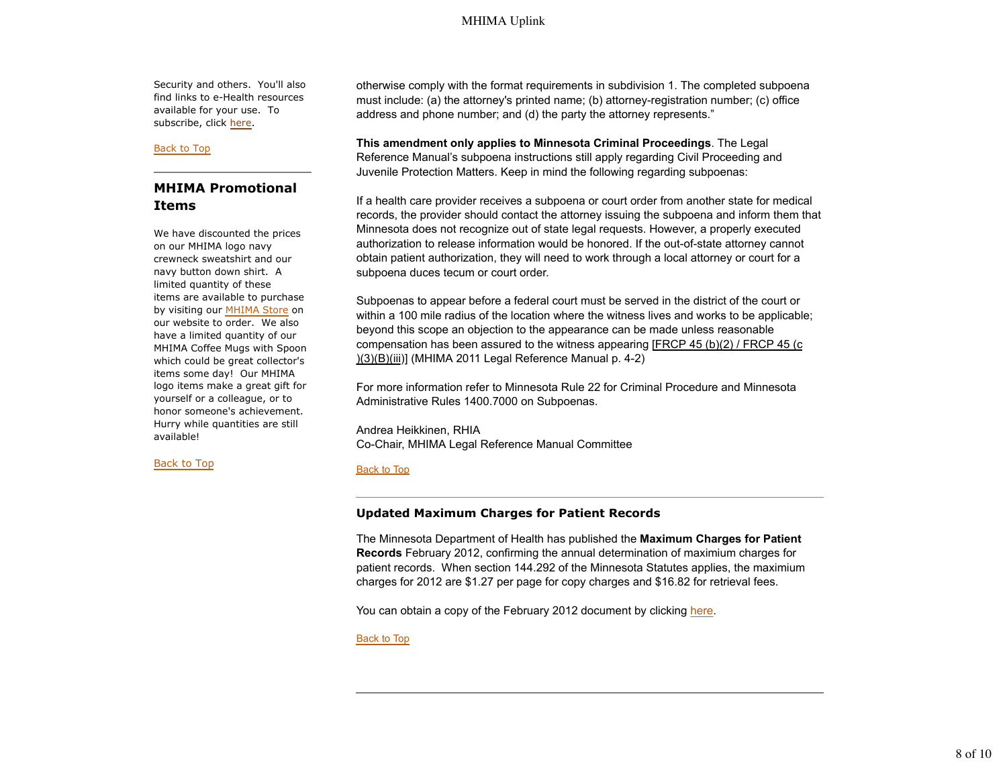Security and others. You'll also find links to e-Health resources available for your use. To subscribe, click here.

#### Back to Top

# **MHIMA Promotional Items**

We have discounted the prices on our MHIMA logo navy crewneck sweatshirt and our navy button down shirt. A limited quantity of these items are available to purchase by visiting our MHIMA Store on our website to order. We also have a limited quantity of our MHIMA Coffee Mugs with Spoon which could be great collector's items some day! Our MHIMA logo items make a great gift for yourself or a colleague, or to honor someone's achievement. Hurry while quantities are still available!

### Back to Top

otherwise comply with the format requirements in subdivision 1. The completed subpoena must include: (a) the attorney's printed name; (b) attorney-registration number; (c) office address and phone number; and (d) the party the attorney represents."

**This amendment only applies to Minnesota Criminal Proceedings**. The Legal Reference Manual's subpoena instructions still apply regarding Civil Proceeding and Juvenile Protection Matters. Keep in mind the following regarding subpoenas:

If a health care provider receives a subpoena or court order from another state for medical records, the provider should contact the attorney issuing the subpoena and inform them that Minnesota does not recognize out of state legal requests. However, a properly executed authorization to release information would be honored. If the out-of-state attorney cannot obtain patient authorization, they will need to work through a local attorney or court for a subpoena duces tecum or court order.

Subpoenas to appear before a federal court must be served in the district of the court or within a 100 mile radius of the location where the witness lives and works to be applicable: beyond this scope an objection to the appearance can be made unless reasonable compensation has been assured to the witness appearing  $[FRCP 45 (b)(2) / FRCP 45 (c)$ )(3)(B)(iii)] (MHIMA 2011 Legal Reference Manual p. 4-2)

For more information refer to Minnesota Rule 22 for Criminal Procedure and Minnesota Administrative Rules 1400.7000 on Subpoenas.

Andrea Heikkinen, RHIA Co-Chair, MHIMA Legal Reference Manual Committee

### Back to Top

### **Updated Maximum Charges for Patient Records**

The Minnesota Department of Health has published the **Maximum Charges for Patient Records** February 2012, confirming the annual determination of maximium charges for patient records. When section 144.292 of the Minnesota Statutes applies, the maximium charges for 2012 are \$1.27 per page for copy charges and \$16.82 for retrieval fees.

You can obtain a copy of the February 2012 document by clicking here.

### Back to Top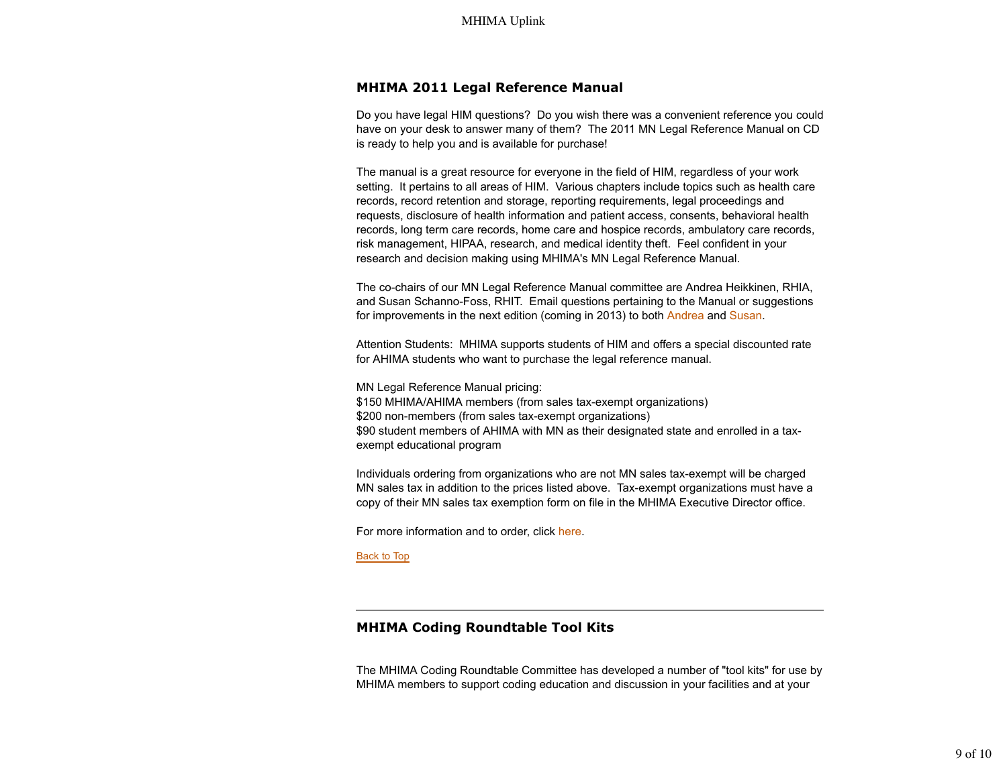### **MHIMA 2011 Legal Reference Manual**

Do you have legal HIM questions? Do you wish there was a convenient reference you could have on your desk to answer many of them? The 2011 MN Legal Reference Manual on CD is ready to help you and is available for purchase!

The manual is a great resource for everyone in the field of HIM, regardless of your work setting. It pertains to all areas of HIM. Various chapters include topics such as health care records, record retention and storage, reporting requirements, legal proceedings and requests, disclosure of health information and patient access, consents, behavioral health records, long term care records, home care and hospice records, ambulatory care records, risk management, HIPAA, research, and medical identity theft. Feel confident in your research and decision making using MHIMA's MN Legal Reference Manual.

The co-chairs of our MN Legal Reference Manual committee are Andrea Heikkinen, RHIA, and Susan Schanno-Foss, RHIT. Email questions pertaining to the Manual or suggestions for improvements in the next edition (coming in 2013) to both Andrea and Susan.

Attention Students: MHIMA supports students of HIM and offers a special discounted rate for AHIMA students who want to purchase the legal reference manual.

MN Legal Reference Manual pricing: \$150 MHIMA/AHIMA members (from sales tax-exempt organizations) \$200 non-members (from sales tax-exempt organizations) \$90 student members of AHIMA with MN as their designated state and enrolled in a taxexempt educational program

Individuals ordering from organizations who are not MN sales tax-exempt will be charged MN sales tax in addition to the prices listed above. Tax-exempt organizations must have a copy of their MN sales tax exemption form on file in the MHIMA Executive Director office.

For more information and to order, click here.

Back to Top

## **MHIMA Coding Roundtable Tool Kits**

The MHIMA Coding Roundtable Committee has developed a number of "tool kits" for use by MHIMA members to support coding education and discussion in your facilities and at your